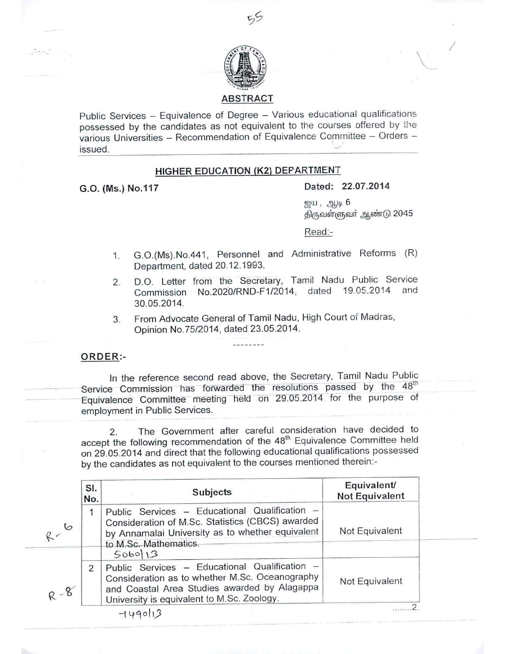

Public Services - Equivalence of Degree - Various educational qualifications possessed by the candidates as not equivalent to the courses offered by the various Universities – Recommendation of Equivalence Committee – Orders -<br>issued.

## HIGHER EDUCATION (K2) DEPARTMENT

 $\sim$ 

# G.O. (Ms.) NO.117 Dated: 22.07.2014

 $g\mu$ ,  $g\mu$ ,  $6$ திருவள்ளுவர் ஆண்டு 2045

\

/

Read:-

- 1. G.0.(Ms).No.441, Personnel and Administrative Reforms (R) Department, dated 20.12.1993.
- 2. D.O. Letter from the Secretary, Tamil Nadu Public Service Commission No.2020/RND-F1/2014, dated 19.05.2014 and 30.05.2014.
- 3. From Advocate General of Tamil Nadu, High Court of Madras, Opinion NO.75/2014, dated 23.05.2014.

--------

#### ORDER:-

In the reference second read above, the Secretary, Tamil Nadu Public Service Commission has forwarded the resolutions passed by the 48<sup>th</sup> Equivalence Committee meeting held on 29.05.2014 for the purpose of employment in Public Services.

2. The Government after careful consideration have decided to accept the following recommendation of the 48<sup>th</sup> Equivalence Committee held on 29.05.2014 and direct that the following educational qualifications possessed by the candidates as not equivalent to the courses mentioned therein:-